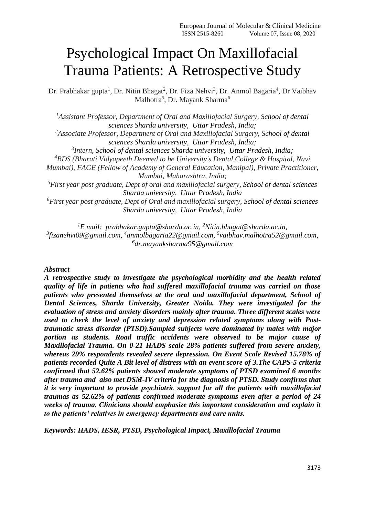# Psychological Impact On Maxillofacial Trauma Patients: A Retrospective Study

Dr. Prabhakar gupta<sup>1</sup>, Dr. Nitin Bhagat<sup>2</sup>, Dr. Fiza Nehvi<sup>3</sup>, Dr. Anmol Bagaria<sup>4</sup>, Dr Vaibhav Malhotra<sup>5</sup>, Dr. Mayank Sharma<sup>6</sup>

*<sup>1</sup>Assistant Professor, Department of Oral and Maxillofacial Surgery, School of dental sciences Sharda university, Uttar Pradesh, India; <sup>2</sup>Associate Professor, Department of Oral and Maxillofacial Surgery, School of dental sciences Sharda university, Uttar Pradesh, India; 3 Intern, School of dental sciences Sharda university, Uttar Pradesh, India; <sup>4</sup>BDS (Bharati Vidyapeeth Deemed to be University's Dental College & Hospital, Navi Mumbai), FAGE (Fellow of Academy of General Education, Manipal), Private Practitioner, Mumbai, Maharashtra, India; <sup>5</sup>First year post graduate, Dept of oral and maxillofacial surgery, School of dental sciences Sharda university, Uttar Pradesh, India <sup>6</sup>First year post graduate, Dept of Oral and maxillofacial surgery, School of dental sciences Sharda university, Uttar Pradesh, India*

*<sup>1</sup>E mail: [prabhakar.gupta@sharda.ac.in,](mailto:prabhakar.gupta@sharda.ac.in) <sup>2</sup>[Nitin.bhagat@sharda.ac.in,](mailto:Nitin.bhagat@sharda.ac.in) 3 [fizanehvi09@gmail.com,](mailto:fizanehvi09@gmail.com) 4 [anmolbagaria22@gmail.com,](mailto:anmolbagaria22@gmail.com) 5 [vaibhav.malhotra52@gmail.com,](mailto:vaibhav.malhotra52@gmail.com) 6 [dr.mayanksharma95@gmail.com](mailto:dr.mayanksharma95@gmail.com)*

# *Abstract*

*A retrospective study to investigate the psychological morbidity and the health related quality of life in patients who had suffered maxillofacial trauma was carried on those patients who presented themselves at the oral and maxillofacial department, School of Dental Sciences, Sharda University, Greater Noida. They were investigated for the evaluation of stress and anxiety disorders mainly after trauma. Three different scales were used to check the level of anxiety and depression related symptoms along with Posttraumatic stress disorder (PTSD).Sampled subjects were dominated by males with major portion as students. Road traffic accidents were observed to be major cause of Maxillofacial Trauma. On 0-21 HADS scale 28% patients suffered from severe anxiety, whereas 29% respondents revealed severe depression. On Event Scale Revised 15.78% of patients recorded Quite A Bit level of distress with an event score of 3.The CAPS-5 criteria confirmed that 52.62% patients showed moderate symptoms of PTSD examined 6 months after trauma and also met DSM-IV criteria for the diagnosis of PTSD. Study confirms that it is very important to provide psychiatric support for all the patients with maxillofacial traumas as 52.62% of patients confirmed moderate symptoms even after a period of 24 weeks of trauma. Clinicians should emphasize this important consideration and explain it to the patients' relatives in emergency departments and care units.*

*Keywords: HADS, IESR, PTSD, Psychological Impact, Maxillofacial Trauma*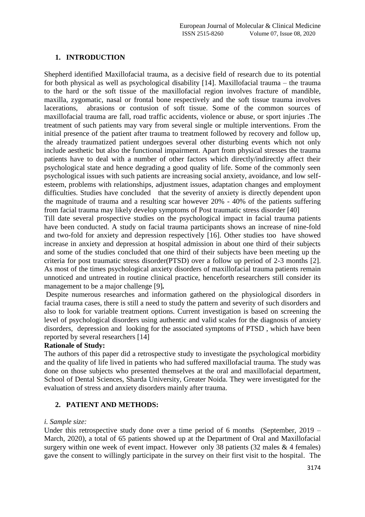# **1. INTRODUCTION**

Shepherd identified Maxillofacial trauma, as a decisive field of research due to its potential for both physical as well as psychological disability [14]. Maxillofacial trauma – the trauma to the hard or the soft tissue of the maxillofacial region involves fracture of mandible, maxilla, zygomatic, nasal or frontal bone respectively and the soft tissue trauma involves lacerations, abrasions or contusion of soft tissue. Some of the common sources of maxillofacial trauma are fall, road traffic accidents, violence or abuse, or sport injuries .The treatment of such patients may vary from several single or multiple interventions. From the initial presence of the patient after trauma to treatment followed by recovery and follow up, the already traumatized patient undergoes several other disturbing events which not only include aesthetic but also the functional impairment. Apart from physical stresses the trauma patients have to deal with a number of other factors which directly/indirectly affect their psychological state and hence degrading a good quality of life. Some of the commonly seen psychological issues with such patients are increasing social anxiety, avoidance, and low selfesteem, problems with relationships, adjustment issues, adaptation changes and employment difficulties. Studies have concluded that the severity of anxiety is directly dependent upon the magnitude of trauma and a resulting scar however 20% - 40% of the patients suffering from facial trauma may likely develop symptoms of Post traumatic stress disorder [40]

Till date several prospective studies on the psychological impact in facial trauma patients have been conducted. A study on facial trauma participants shows an increase of nine-fold and two-fold for anxiety and depression respectively [16]. Other studies too have showed increase in anxiety and depression at hospital admission in about one third of their subjects and some of the studies concluded that one third of their subjects have been meeting up the criteria for post traumatic stress disorder(PTSD) over a follow up period of 2-3 months [2]. As most of the times psychological anxiety disorders of maxillofacial trauma patients remain unnoticed and untreated in routine clinical practice, henceforth researchers still consider its management to be a major challenge [9]*.*

Despite numerous researches and information gathered on the physiological disorders in facial trauma cases, there is still a need to study the pattern and severity of such disorders and also to look for variable treatment options. Current investigation is based on screening the level of psychological disorders using authentic and valid scales for the diagnosis of anxiety disorders, depression and looking for the associated symptoms of PTSD , which have been reported by several researchers [14]

# **Rationale of Study:**

The authors of this paper did a retrospective study to investigate the psychological morbidity and the quality of life lived in patients who had suffered maxillofacial trauma. The study was done on those subjects who presented themselves at the oral and maxillofacial department, School of Dental Sciences, Sharda University, Greater Noida. They were investigated for the evaluation of stress and anxiety disorders mainly after trauma.

# **2. PATIENT AND METHODS:**

# *i. Sample size:*

Under this retrospective study done over a time period of 6 months (September, 2019 – March, 2020), a total of 65 patients showed up at the Department of Oral and Maxillofacial surgery within one week of event impact. However only 38 patients  $(32 \text{ males } \& 4 \text{ females})$ gave the consent to willingly participate in the survey on their first visit to the hospital. The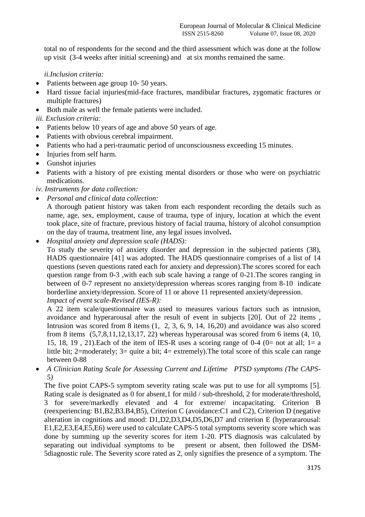total no of respondents for the second and the third assessment which was done at the follow up visit (3-4 weeks after initial screening) and at six months remained the same.

*ii.Inclusion criteria:*

- Patients between age group 10- 50 years.
- Hard tissue facial injuries(mid-face fractures, mandibular fractures, zygomatic fractures or multiple fractures)
- Both male as well the female patients were included.
- *iii. Exclusion criteria:*
- Patients below 10 years of age and above 50 years of age.
- Patients with obvious cerebral impairment.
- Patients who had a peri-traumatic period of unconsciousness exceeding 15 minutes.
- Injuries from self harm.
- Gunshot injuries
- Patients with a history of pre existing mental disorders or those who were on psychiatric medications.

*iv. Instruments for data collection:*

*Personal and clinical data collection:*

A thorough patient history was taken from each respondent recording the details such as name, age, sex, employment, cause of trauma, type of injury, location at which the event took place, site of fracture, previous history of facial trauma, history of alcohol consumption on the day of trauma, treatment line, any legal issues involved**.**

- *Hospital anxiety and depression scale (HADS):*
	- To study the severity of anxiety disorder and depression in the subjected patients (38), HADS questionnaire [41] was adopted. The HADS questionnaire comprises of a list of 14 questions (seven questions rated each for anxiety and depression).The scores scored for each question range from 0-3 ,with each sub scale having a range of 0-21.The scores ranging in between of 0-7 represent no anxiety/depression whereas scores ranging from 8-10 indicate borderline anxiety/depression. Score of 11 or above 11 represented anxiety/depression. *Impact of event scale-Revised (IES-R):*

A 22 item scale/questionnaire was used to measures various factors such as intrusion, avoidance and hyperarousal after the result of event in subjects [20]. Out of 22 items , Intrusion was scored from 8 items (1, 2, 3, 6, 9, 14, 16,20) and avoidance was also scored from 8 items  $(5,7,8,11,12,13,17, 22)$  whereas hyperarousal was scored from 6 items  $(4, 10, 10)$ 15, 18, 19, 21). Each of the item of IES-R uses a scoring range of 0-4 (0= not at all; 1= a little bit; 2=moderately; 3= quite a bit; 4= extremely).The total score of this scale can range between 0-88

 *A Clinician Rating Scale for Assessing Current and Lifetime PTSD symptoms (The CAPS-5)*

The five point CAPS-5 symptom severity rating scale was put to use for all symptoms [5]. Rating scale is designated as 0 for absent,1 for mild / sub-threshold, 2 for moderate/threshold, 3 for severe/markedly elevated and 4 for extreme/ incapacitating. Criterion B (reexperiencing: B1,B2,B3.B4,B5), Criterion C (avoidance:C1 and C2), Criterion D (negative alteration in cognitions and mood: D1,D2,D3,D4,D5,D6,D7 and criterion E (hyperararousal: E1,E2,E3,E4,E5,E6) were used to calculate CAPS-5 total symptoms severity score which was done by summing up the severity scores for item 1-20. PTS diagnosis was calculated by separating out individual symptoms to be present or absent, then followed the DSM-5diagnostic rule. The Severity score rated as 2, only signifies the presence of a symptom. The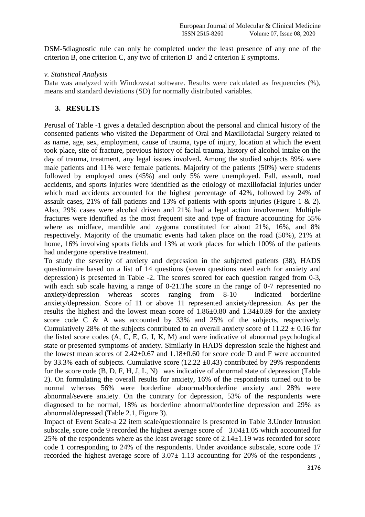DSM-5diagnostic rule can only be completed under the least presence of any one of the criterion B, one criterion C, any two of criterion D and 2 criterion E symptoms.

# *v. Statistical Analysis*

Data was analyzed with Windowstat software. Results were calculated as frequencies  $(\%)$ . means and standard deviations (SD) for normally distributed variables.

# **3. RESULTS**

Perusal of Table -1 gives a detailed description about the personal and clinical history of the consented patients who visited the Department of Oral and Maxillofacial Surgery related to as name, age, sex, employment, cause of trauma, type of injury, location at which the event took place, site of fracture, previous history of facial trauma, history of alcohol intake on the day of trauma, treatment, any legal issues involved**.** Among the studied subjects 89% were male patients and 11% were female patients. Majority of the patients (50%) were students followed by employed ones (45%) and only 5% were unemployed. Fall, assault, road accidents, and sports injuries were identified as the etiology of maxillofacial injuries under which road accidents accounted for the highest percentage of 42%, followed by 24% of assault cases, 21% of fall patients and 13% of patients with sports injuries (Figure 1 & 2). Also, 29% cases were alcohol driven and 21% had a legal action involvement. Multiple fractures were identified as the most frequent site and type of fracture accounting for 55% where as midface, mandible and zygoma constituted for about 21%, 16%, and 8% respectively. Majority of the traumatic events had taken place on the road (50%), 21% at home, 16% involving sports fields and 13% at work places for which 100% of the patients had undergone operative treatment.

To study the severity of anxiety and depression in the subjected patients (38), HADS questionnaire based on a list of 14 questions (seven questions rated each for anxiety and depression) is presented in Table -2. The scores scored for each question ranged from 0-3, with each sub scale having a range of 0-21. The score in the range of 0-7 represented no anxiety/depression whereas scores ranging from 8-10 indicated borderline anxiety/depression. Score of 11 or above 11 represented anxiety/depression. As per the results the highest and the lowest mean score of  $1.86\pm0.80$  and  $1.34\pm0.89$  for the anxiety score code C & A was accounted by 33% and 25% of the subjects, respectively. Cumulatively 28% of the subjects contributed to an overall anxiety score of  $11.22 \pm 0.16$  for the listed score codes (A, C, E, G, I, K, M) and were indicative of abnormal psychological state or presented symptoms of anxiety. Similarly in HADS depression scale the highest and the lowest mean scores of  $2.42 \pm 0.67$  and  $1.18 \pm 0.60$  for score code D and F were accounted by 33.3% each of subjects. Cumulative score (12.22  $\pm$ 0.43) contributed by 29% respondents for the score code (B, D, F, H, J, L, N) was indicative of abnormal state of depression (Table 2). On formulating the overall results for anxiety, 16% of the respondents turned out to be normal whereas 56% were borderline abnormal/borderline anxiety and 28% were abnormal/severe anxiety. On the contrary for depression, 53% of the respondents were diagnosed to be normal, 18% as borderline abnormal/borderline depression and 29% as abnormal/depressed (Table 2.1, Figure 3).

Impact of Event Scale-a 22 item scale/questionnaire is presented in Table 3.Under Intrusion subscale, score code 9 recorded the highest average score of 3.04±1.05 which accounted for 25% of the respondents where as the least average score of 2.14±1.19 was recorded for score code 1 corresponding to 24% of the respondents. Under avoidance subscale, score code 17 recorded the highest average score of  $3.07 \pm 1.13$  accounting for 20% of the respondents,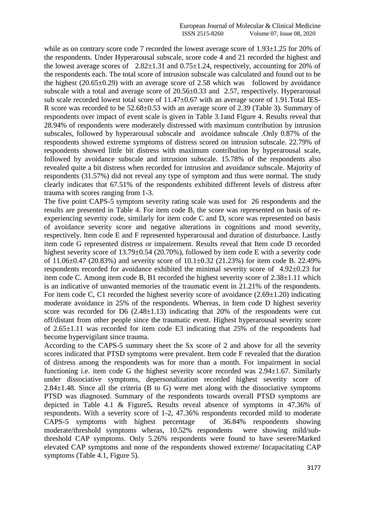while as on contrary score code 7 recorded the lowest average score of 1.93 $\pm$ 1.25 for 20% of the respondents. Under Hyperarousal subscale, score code 4 and 21 recorded the highest and the lowest average scores of  $2.82 \pm 1.31$  and  $0.75 \pm 1.24$ , respectively, accounting for 20% of the respondents each. The total score of intrusion subscale was calculated and found out to be the highest  $(20.65\pm0.29)$  with an average score of 2.58 which was followed by avoidance subscale with a total and average score of 20.56±0.33 and 2.57, respectively. Hyperarousal sub scale recorded lowest total score of 11.47±0.67 with an average score of 1.91.Total IES-R score was recorded to be 52.68±0.53 with an average score of 2.39 (Table 3). Summary of respondents over impact of event scale is given in Table 3.1and Figure 4. Results reveal that 28.94% of respondents were moderately distressed with maximum contribution by intrusion subscales, followed by hyperarousal subscale and avoidance subscale .Only 0.87% of the respondents showed extreme symptoms of distress scored on intrusion subscale. 22.79% of respondents showed little bit distress with maximum contribution by hyperarousal scale, followed by avoidance subscale and intrusion subscale. 15.78% of the respondents also revealed quite a bit distress when recorded for intrusion and avoidance subscale. Majority of respondents (31.57%) did not reveal any type of symptom and thus were normal. The study clearly indicates that 67.51% of the respondents exhibited different levels of distress after trauma with scores ranging from 1-3.

The five point CAPS-5 symptom severity rating scale was used for 26 respondents and the results are presented in Table 4. For item code B, the score was represented on basis of reexperiencing severity code, similarly for item code C and D, score was represented on basis of avoidance severity score and negative alterations in cognitions and mood severity, respectively. Item code E and F represented hyperarousal and duration of disturbance. Lastly item code G represented distress or impairement. Results reveal that Item code D recorded highest severity score of 13.79±0.54 (20.70%), followed by item code E with a severity code of  $11.06\pm0.47$  (20.83%) and severity score of  $10.1\pm0.32$  (21.23%) for item code B. 22.49% respondents recorded for avoidance exhibited the minimal severity score of 4.92±0.23 for item code C. Among item code B, B1 recorded the highest severity score of 2.38±1.11 which is an indicative of unwanted memories of the traumatic event in 21.21% of the respondents. For item code C, C1 recorded the highest severity score of avoidance  $(2.69\pm1.20)$  indicating moderate avoidance in 25% of the respondents. Whereas, in Item code D highest severity score was recorded for D6  $(2.48\pm1.13)$  indicating that 20% of the respondents were cut off/distant from other people since the traumatic event. Highest hyperarousal severity score of 2.65±1.11 was recorded for item code E3 indicating that 25% of the respondents had become hypervigilant since trauma.

According to the CAPS-5 summary sheet the Sx score of 2 and above for all the severity scores indicated that PTSD symptoms were prevalent. Item code F revealed that the duration of distress among the respondents was for more than a month. For impairment in social functioning i.e. item code G the highest severity score recorded was  $2.94 \pm 1.67$ . Similarly under dissociative symptoms, depersonalization recorded highest severity score of  $2.84\pm1.48$ . Since all the criteria (B to G) were met along with the dissociative symptoms PTSD was diagnosed. Summary of the respondents towards overall PTSD symptoms are depicted in Table 4.1 & Figure5**.** Results reveal absence of symptoms in 47.36% of respondents. With a severity score of 1-2, 47.36% respondents recorded mild to moderate CAPS-5 symptoms with highest percentage of 36.84% respondents showing moderate/threshold symptoms wheras, 10.52% respondents were showing mild/subthreshold CAP symptoms. Only 5.26% respondents were found to have severe/Marked elevated CAP symptoms and none of the respondents showed extreme/ Incapacitating CAP symptoms (Table 4.1, Figure 5).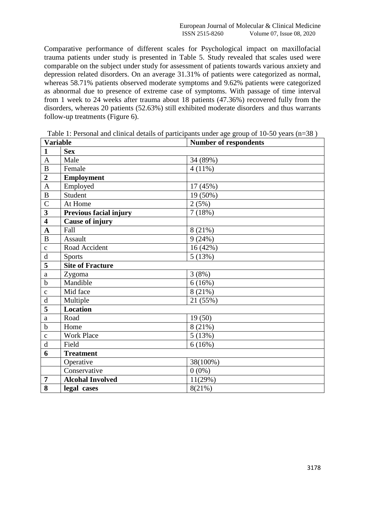Comparative performance of different scales for Psychological impact on maxillofacial trauma patients under study is presented in Table 5. Study revealed that scales used were comparable on the subject under study for assessment of patients towards various anxiety and depression related disorders. On an average 31.31% of patients were categorized as normal, whereas 58.71% patients observed moderate symptoms and 9.62% patients were categorized as abnormal due to presence of extreme case of symptoms. With passage of time interval from 1 week to 24 weeks after trauma about 18 patients (47.36%) recovered fully from the disorders, whereas 20 patients (52.63%) still exhibited moderate disorders and thus warrants follow-up treatments (Figure 6).

| <b>Variable</b>         |                               | <b>Number of respondents</b> |
|-------------------------|-------------------------------|------------------------------|
| $\mathbf{1}$            | <b>Sex</b>                    |                              |
| $\mathbf{A}$            | Male                          | 34 (89%)                     |
| $\, {\bf B}$            | Female                        | 4(11%)                       |
| $\overline{2}$          | <b>Employment</b>             |                              |
| $\mathbf{A}$            | Employed                      | 17 (45%)                     |
| $\overline{B}$          | Student                       | 19 (50%)                     |
| $\overline{C}$          | At Home                       | 2(5%)                        |
| $\overline{\mathbf{3}}$ | <b>Previous facial injury</b> | 7(18%)                       |
| $\overline{\mathbf{4}}$ | <b>Cause of injury</b>        |                              |
| $\mathbf A$             | Fall                          | 8 (21%)                      |
| $\bf{B}$                | Assault                       | 9(24%)                       |
| $\mathbf{C}$            | Road Accident                 | 16(42%)                      |
| $\rm d$                 | <b>Sports</b>                 | 5(13%)                       |
| $\overline{\mathbf{5}}$ | <b>Site of Fracture</b>       |                              |
| $\rm{a}$                | Zygoma                        | 3(8%)                        |
| $\overline{b}$          | Mandible                      | 6(16%)                       |
| $\mathbf C$             | Mid face                      | 8(21%)                       |
| $\rm d$                 | Multiple                      | 21 (55%)                     |
| 5                       | <b>Location</b>               |                              |
| $\rm{a}$                | Road                          | 19(50)                       |
| $\mathbf b$             | Home                          | 8(21%)                       |
| $\mathbf c$             | <b>Work Place</b>             | 5(13%)                       |
| $\rm d$                 | Field                         | 6(16%)                       |
| 6                       | <b>Treatment</b>              |                              |
|                         | Operative                     | 38(100%)                     |
|                         | Conservative                  | $0(0\%)$                     |
| $\overline{7}$          | <b>Alcohal Involved</b>       | 11(29%)                      |
| 8                       | legal cases                   | 8(21%)                       |

Table 1: Personal and clinical details of participants under age group of 10-50 years (n=38 )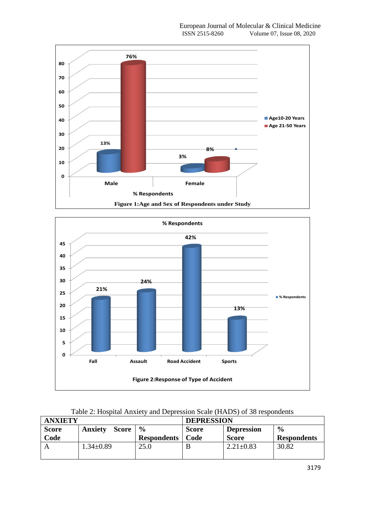



| Table 2: Hospital Anxiety and Depression Scale (HADS) of 38 respondents |  |  |  |  |  |  |
|-------------------------------------------------------------------------|--|--|--|--|--|--|
|-------------------------------------------------------------------------|--|--|--|--|--|--|

| <b>ANXIETY</b> |                         |                    | <b>DEPRESSION</b> |                   |                    |  |
|----------------|-------------------------|--------------------|-------------------|-------------------|--------------------|--|
| <b>Score</b>   | Score<br><b>Anxiety</b> | $\frac{6}{9}$      | <b>Score</b>      | <b>Depression</b> | $\frac{6}{6}$      |  |
| Code           |                         | <b>Respondents</b> | Code              | <b>Score</b>      | <b>Respondents</b> |  |
|                | $1.34 \pm 0.89$         | 25.0               |                   | $2.21 \pm 0.83$   | 30.82              |  |
|                |                         |                    |                   |                   |                    |  |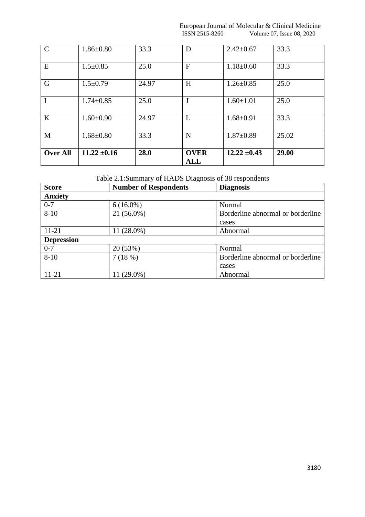European Journal of Molecular & Clinical Medicine<br>ISSN 2515-8260 Volume 07, Issue 08, 2020 Volume 07, Issue 08, 2020

| $\mathcal{C}$   | $1.86 \pm 0.80$  | 33.3  | D                         | $2.42 \pm 0.67$  | 33.3  |
|-----------------|------------------|-------|---------------------------|------------------|-------|
| E               | $1.5 \pm 0.85$   | 25.0  | $\mathbf{F}$              | $1.18 \pm 0.60$  | 33.3  |
| G               | $1.5 \pm 0.79$   | 24.97 | H                         | $1.26 \pm 0.85$  | 25.0  |
| I               | $1.74 \pm 0.85$  | 25.0  |                           | $1.60 \pm 1.01$  | 25.0  |
| K               | $1.60 \pm 0.90$  | 24.97 | L                         | $1.68 \pm 0.91$  | 33.3  |
| M               | $1.68 \pm 0.80$  | 33.3  | N                         | $1.87 \pm 0.89$  | 25.02 |
| <b>Over All</b> | $11.22 \pm 0.16$ | 28.0  | <b>OVER</b><br><b>ALL</b> | $12.22 \pm 0.43$ | 29.00 |

# Table 2.1:Summary of HADS Diagnosis of 38 respondents

| <b>Score</b>      | <b>Number of Respondents</b> | <b>Diagnosis</b>                  |
|-------------------|------------------------------|-----------------------------------|
| <b>Anxiety</b>    |                              |                                   |
| $0 - 7$           | $6(16.0\%)$                  | Normal                            |
| $8 - 10$          | 21 (56.0%)                   | Borderline abnormal or borderline |
|                   |                              | cases                             |
| $11 - 21$         | $11(28.0\%)$                 | Abnormal                          |
| <b>Depression</b> |                              |                                   |
| $0 - 7$           | 20 (53%)                     | Normal                            |
| $8 - 10$          | 7(18%)                       | Borderline abnormal or borderline |
|                   |                              | cases                             |
| $11 - 21$         | $11(29.0\%)$                 | Abnormal                          |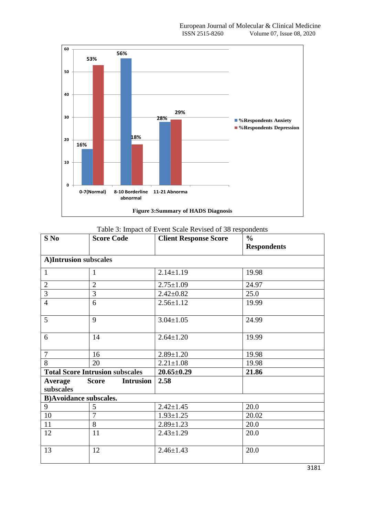

#### Table 3: Impact of Event Scale Revised of 38 respondents

| $S$ No                         | <b>Score Code</b>                      | <b>Client Response Score</b> | $\frac{0}{0}$<br><b>Respondents</b> |
|--------------------------------|----------------------------------------|------------------------------|-------------------------------------|
| A)Intrusion subscales          |                                        |                              |                                     |
| $\mathbf{1}$                   | $\mathbf{1}$                           | $2.14 \pm 1.19$              | 19.98                               |
| $\overline{2}$                 | $\overline{2}$                         | $2.75 \pm 1.09$              | 24.97                               |
| $\overline{3}$                 | $\overline{3}$                         | $2.42 \pm 0.82$              | 25.0                                |
| $\overline{4}$                 | 6                                      | $2.56 \pm 1.12$              | 19.99                               |
| 5                              | 9                                      | $3.04 \pm 1.05$              | 24.99                               |
| 6                              | 14                                     | $2.64 \pm 1.20$              | 19.99                               |
| $\overline{7}$                 | 16                                     | $2.89 \pm 1.20$              | 19.98                               |
| 8                              | 20                                     | $2.21 \pm 1.08$              | 19.98                               |
|                                | <b>Total Score Intrusion subscales</b> | $20.65 \pm 0.29$             | 21.86                               |
| Average<br>subscales           | <b>Intrusion</b><br><b>Score</b>       | 2.58                         |                                     |
| <b>B)</b> Avoidance subscales. |                                        |                              |                                     |
| 9                              | 5                                      | $2.42 \pm 1.45$              | 20.0                                |
| 10                             | $\overline{7}$                         | $1.93 \pm 1.25$              | 20.02                               |
| 11                             | 8                                      | $2.89 \pm 1.23$              | 20.0                                |
| 12                             | 11                                     | $2.43 \pm 1.29$              | 20.0                                |
| 13                             | 12                                     | $2.46 \pm 1.43$              | 20.0                                |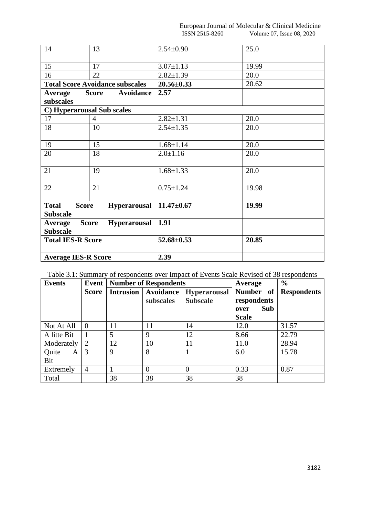| 14                           | 13                                     | $2.54 \pm 0.90$  | 25.0  |
|------------------------------|----------------------------------------|------------------|-------|
|                              |                                        |                  |       |
| 15                           | 17                                     | $3.07 \pm 1.13$  | 19.99 |
| 16                           | 22                                     | $2.82 \pm 1.39$  | 20.0  |
|                              | <b>Total Score Avoidance subscales</b> | $20.56 \pm 0.33$ | 20.62 |
| Average                      | <b>Avoidance</b><br><b>Score</b>       | 2.57             |       |
| subscales                    |                                        |                  |       |
|                              | C) Hyperarousal Sub scales             |                  |       |
| 17                           | $\overline{4}$                         | $2.82 \pm 1.31$  | 20.0  |
| 18                           | 10                                     | $2.54 \pm 1.35$  | 20.0  |
|                              |                                        |                  |       |
| 19                           | 15                                     | $1.68 \pm 1.14$  | 20.0  |
| 20                           | 18                                     | $2.0 \pm 1.16$   | 20.0  |
|                              |                                        |                  |       |
| 21                           | 19                                     | $1.68 \pm 1.33$  | 20.0  |
|                              |                                        |                  |       |
| 22                           | 21                                     | $0.75 \pm 1.24$  | 19.98 |
|                              |                                        |                  |       |
| <b>Score</b><br><b>Total</b> | <b>Hyperarousal</b>                    | $11.47 \pm 0.67$ | 19.99 |
| <b>Subscale</b>              |                                        |                  |       |
| Average                      | <b>Hyperarousal</b><br><b>Score</b>    | 1.91             |       |
| <b>Subscale</b>              |                                        |                  |       |
| <b>Total IES-R Score</b>     |                                        | $52.68 \pm 0.53$ | 20.85 |
|                              |                                        |                  |       |
| <b>Average IES-R Score</b>   |                                        | 2.39             |       |

| Table 3.1: Summary of respondents over Impact of Events Scale Revised of 38 respondents |  |  |  |  |  |  |  |  |
|-----------------------------------------------------------------------------------------|--|--|--|--|--|--|--|--|
|-----------------------------------------------------------------------------------------|--|--|--|--|--|--|--|--|

| <b>Events</b>     | Event          | <b>Number of Respondents</b> |                        |                                        | Average                                                 | $\frac{6}{6}$      |
|-------------------|----------------|------------------------------|------------------------|----------------------------------------|---------------------------------------------------------|--------------------|
|                   | <b>Score</b>   | Intrusion                    | Avoidance<br>subscales | <b>Hyperarousal</b><br><b>Subscale</b> | Number of<br>respondents<br>Sub<br>over<br><b>Scale</b> | <b>Respondents</b> |
| Not At All        | $\overline{0}$ | 11                           | 11                     | 14                                     | 12.0                                                    | 31.57              |
| A litte Bit       |                | 5                            | 9                      | 12                                     | 8.66                                                    | 22.79              |
| Moderately        | 2              | 12                           | 10                     | 11                                     | 11.0                                                    | 28.94              |
| Quite<br>A<br>Bit | 3              | $\mathbf Q$                  | 8                      |                                        | 6.0                                                     | 15.78              |
| Extremely         | $\overline{4}$ |                              | $\theta$               | $\Omega$                               | 0.33                                                    | 0.87               |
| Total             |                | 38                           | 38                     | 38                                     | 38                                                      |                    |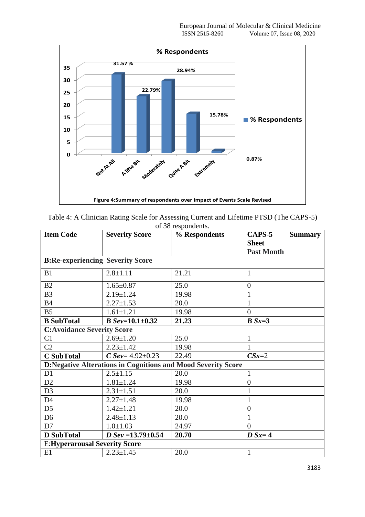

| Table 4: A Clinician Rating Scale for Assessing Current and Lifetime PTSD (The CAPS-5) |
|----------------------------------------------------------------------------------------|
| of 38 respondents.                                                                     |

| <b>Item Code</b>                        | <b>Severity Score</b>    | % Respondents                                                       | CAPS-5<br><b>Summary</b>          |  |  |  |  |
|-----------------------------------------|--------------------------|---------------------------------------------------------------------|-----------------------------------|--|--|--|--|
|                                         |                          |                                                                     | <b>Sheet</b><br><b>Past Month</b> |  |  |  |  |
| <b>B:Re-experiencing Severity Score</b> |                          |                                                                     |                                   |  |  |  |  |
| B1                                      | $2.8 \pm 1.11$           | 21.21                                                               | 1                                 |  |  |  |  |
| B2                                      | $1.65 \pm 0.87$          | 25.0                                                                | $\overline{0}$                    |  |  |  |  |
| B <sub>3</sub>                          | $2.19 \pm 1.24$          | 19.98                                                               |                                   |  |  |  |  |
| <b>B4</b>                               | $2.27 \pm 1.53$          | 20.0                                                                |                                   |  |  |  |  |
| B <sub>5</sub>                          | $1.61 \pm 1.21$          | 19.98                                                               | $\Omega$                          |  |  |  |  |
| <b>B</b> SubTotal                       | $B$ Sev=10.1 $\pm$ 0.32  | 21.23                                                               | $B Sx=3$                          |  |  |  |  |
| <b>C:Avoidance Severity Score</b>       |                          |                                                                     |                                   |  |  |  |  |
| C1                                      | $2.69 \pm 1.20$          | 25.0                                                                | 1                                 |  |  |  |  |
| C <sub>2</sub>                          | $2.23 \pm 1.42$          | 19.98                                                               | 1                                 |  |  |  |  |
| <b>C</b> SubTotal                       | $C$ Sev= 4.92 $\pm$ 0.23 | 22.49                                                               | $CSx=2$                           |  |  |  |  |
|                                         |                          | <b>D:Negative Alterations in Cognitions and Mood Severity Score</b> |                                   |  |  |  |  |
| D1                                      | $2.5 \pm 1.15$           | 20.0                                                                |                                   |  |  |  |  |
| D2                                      | $1.81 \pm 1.24$          | 19.98                                                               | $\overline{0}$                    |  |  |  |  |
| D <sub>3</sub>                          | $2.31 \pm 1.51$          | 20.0                                                                |                                   |  |  |  |  |
| D <sub>4</sub>                          | $2.27 \pm 1.48$          | 19.98                                                               | $\mathbf{1}$                      |  |  |  |  |
| D <sub>5</sub>                          | $1.42 \pm 1.21$          | 20.0                                                                | $\overline{0}$                    |  |  |  |  |
| D <sub>6</sub>                          | $2.48 \pm 1.13$          | 20.0                                                                | $\mathbf{1}$                      |  |  |  |  |
| D7                                      | $1.0 \pm 1.03$           | 24.97                                                               | $\Omega$                          |  |  |  |  |
| <b>D</b> SubTotal                       | D Sev = $13.79 \pm 0.54$ | 20.70                                                               | $D Sx=4$                          |  |  |  |  |
| <b>E:Hyperarousal Severity Score</b>    |                          |                                                                     |                                   |  |  |  |  |
| E1                                      | $2.23 \pm 1.45$          | 20.0                                                                | $\mathbf{1}$                      |  |  |  |  |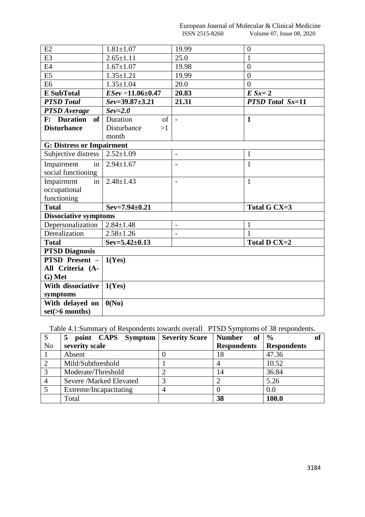European Journal of Molecular & Clinical Medicine<br>ISSN 2515-8260 Volume 07, Issue 08, 2020 Volume 07, Issue 08, 2020

| E2                               | $1.81 \pm 1.07$         | 19.99                    | $\overline{0}$          |
|----------------------------------|-------------------------|--------------------------|-------------------------|
| E <sub>3</sub>                   | $2.65 \pm 1.11$         | 25.0                     | $\mathbf{1}$            |
| E <sub>4</sub>                   | $1.67 \pm 1.07$         | 19.98                    | $\overline{0}$          |
| E <sub>5</sub>                   | $1.35 \pm 1.21$         | 19.99                    | $\overline{0}$          |
| E <sub>6</sub>                   | $1.35 \pm 1.04$         | 20.0                     | $\overline{0}$          |
| <b>E</b> SubTotal                | $ESev = 11.06 \pm 0.47$ | 20.83                    | $E Sx=2$                |
| <b>PTSD</b> Total                | $Sev = 39.87 \pm 3.21$  | 21.31                    | <b>PTSD Total Sx=11</b> |
| <b>PTSD</b> Average              | $Sev=2.0$               |                          |                         |
| <b>F:</b> Duration<br><b>of</b>  | Duration<br>of          |                          | $\mathbf{1}$            |
| <b>Disturbance</b>               | Disturbance<br>>1       |                          |                         |
|                                  | month                   |                          |                         |
| <b>G: Distress or Impairment</b> |                         |                          |                         |
| Subjective distress              | $2.52 \pm 1.09$         | $\blacksquare$           | $\mathbf{1}$            |
| Impairment<br>in                 | $2.94 \pm 1.67$         | $\overline{\phantom{a}}$ | $\mathbf{1}$            |
| social functioning               |                         |                          |                         |
| Impairmrnt<br>in                 | $2.48 \pm 1.43$         | $\overline{a}$           | $\mathbf{1}$            |
| occupational                     |                         |                          |                         |
| functioning                      |                         |                          |                         |
| <b>Total</b>                     | $Sev=7.94\pm0.21$       |                          | Total G CX=3            |
| Dissociative symptoms            |                         |                          |                         |
| Depersonalization                | $2.84 \pm 1.48$         | $\overline{\phantom{a}}$ | $\mathbf{1}$            |
| Derealization                    | $2.58 \pm 1.26$         | $\overline{\phantom{a}}$ | $\mathbf{1}$            |
| <b>Total</b>                     | $Sev=5.42\pm0.13$       |                          | <b>Total D CX=2</b>     |
| <b>PTSD Diagnosis</b>            |                         |                          |                         |
| PTSD Present -                   | 1(Yes)                  |                          |                         |
| All Criteria (A-                 |                         |                          |                         |
| G) Met                           |                         |                          |                         |
| With dissociative                | 1(Yes)                  |                          |                         |
| symptoms                         |                         |                          |                         |
| With delayed on                  | 0(No)                   |                          |                         |
| $set(>6$ months)                 |                         |                          |                         |

Table 4.1:Summary of Respondents towards overall PTSD Symptoms of 38 respondents.

| $\mathbf S$    | point CAPS Symptom   Severity Score<br>5 |   | <b>Number</b><br>of | $\frac{6}{9}$      |
|----------------|------------------------------------------|---|---------------------|--------------------|
| N <sub>o</sub> | severity scale                           |   | <b>Respondents</b>  | <b>Respondents</b> |
|                | Absent                                   |   | 18                  | 47.36              |
| $\overline{2}$ | Mild/Subthreshold                        |   |                     | 10.52              |
| $\overline{3}$ | Moderate/Threshold                       |   | 14                  | 36.84              |
| $\overline{4}$ | Severe /Marked Elevated                  | 3 |                     | 5.26               |
|                | Extreme/Incapacitating                   | 4 |                     | 0.0                |
|                | Total                                    |   | 38                  | 100.0              |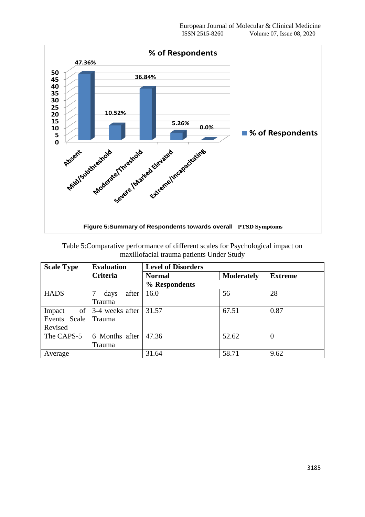

| Table 5: Comparative performance of different scales for Psychological impact on |
|----------------------------------------------------------------------------------|
| maxillofacial trauma patients Under Study                                        |

| <b>Scale Type</b> | <b>Evaluation</b>                  | <b>Level of Disorders</b> |                   |                |
|-------------------|------------------------------------|---------------------------|-------------------|----------------|
|                   | <b>Criteria</b>                    | <b>Normal</b>             | <b>Moderately</b> | <b>Extreme</b> |
|                   |                                    | % Respondents             |                   |                |
| <b>HADS</b>       | after<br>days                      | 16.0                      | 56                | 28             |
|                   | Trauma                             |                           |                   |                |
| Impact            | of $\vert$ 3-4 weeks after $\vert$ | 31.57                     | 67.51             | 0.87           |
| Events Scale      | Trauma                             |                           |                   |                |
| Revised           |                                    |                           |                   |                |
| The CAPS-5        | 6 Months after                     | 47.36                     | 52.62             | $\overline{0}$ |
|                   | Trauma                             |                           |                   |                |
| Average           |                                    | 31.64                     | 58.71             | 9.62           |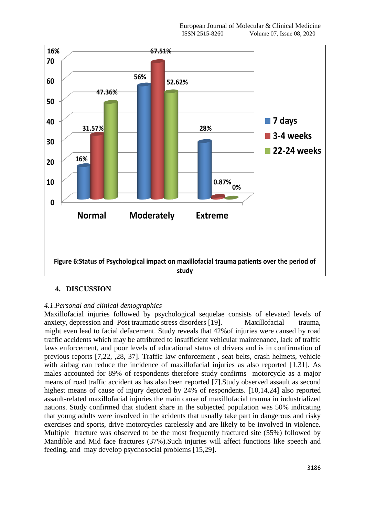

# **4. DISCUSSION**

# *4.1.Personal and clinical demographics*

Maxillofacial injuries followed by psychological sequelae consists of elevated levels of anxiety, depression and Post traumatic stress disorders [19]. Maxillofacial trauma, might even lead to facial defacement. Study reveals that 42%of injuries were caused by road traffic accidents which may be attributed to insufficient vehicular maintenance, lack of traffic laws enforcement, and poor levels of educational status of drivers and is in confirmation of previous reports [7,22, ,28, 37]. Traffic law enforcement , seat belts, crash helmets, vehicle with airbag can reduce the incidence of maxillofacial injuries as also reported [1,31]. As males accounted for 89% of respondents therefore study confirms motorcycle as a major means of road traffic accident as has also been reported [7].Study observed assault as second highest means of cause of injury depicted by 24% of respondents. [10,14,24] also reported assault-related maxillofacial injuries the main cause of maxillofacial trauma in industrialized nations. Study confirmed that student share in the subjected population was 50% indicating that young adults were involved in the acidents that usually take part in dangerous and risky exercises and sports, drive motorcycles carelessly and are likely to be involved in violence. Multiple fracture was observed to be the most frequently fractured site (55%) followed by Mandible and Mid face fractures (37%).Such injuries will affect functions like speech and feeding, and may develop psychosocial problems [15,29].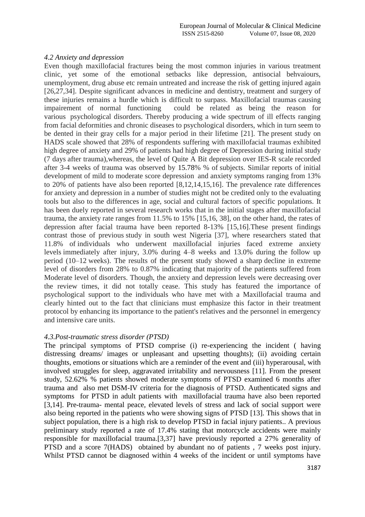# *4.2 Anxiety and depression*

Even though maxillofacial fractures being the most common injuries in various treatment clinic, yet some of the emotional setbacks like depression, antisocial behvaiours, unemployment, drug abuse etc remain untreated and increase the risk of getting injured again [26,27,34]. Despite significant advances in medicine and dentistry, treatment and surgery of these injuries remains a hurdle which is difficult to surpass. Maxillofacial traumas causing impairement of normal functioning could be related as being the reason for various psychological disorders. Thereby producing a wide spectrum of ill effects ranging from facial deformities and chronic diseases to psychological disorders, which in turn seem to be dented in their gray cells for a major period in their lifetime [21]. The present study on HADS scale showed that 28% of respondents suffering with maxillofacial traumas exhibited high degree of anxiety and 29% of patients had high degree of Depression during initial study (7 days after trauma),whereas, the level of Quite A Bit depression over IES-R scale recorded after 3-4 weeks of trauma was observed by 15.78% % of subjects. Similar reports of initial development of mild to moderate score depression and anxiety symptoms ranging from 13% to 20% of patients have also been reported [8,12,14,15,16]. The prevalence rate differences for anxiety and depression in a number of studies might not be credited only to the evaluating tools but also to the differences in age, social and cultural factors of specific populations. It has been duely reported in several research works that in the initial stages after maxillofacial trauma, the anxiety rate ranges from 11.5% to 15% [15,16, 38], on the other hand, the rates of depression after facial trauma have been reported 8-13% [15,16].These present findings contrast those of previous study in south west Nigeria [37], where researchers stated that 11.8% of individuals who underwent maxillofacial injuries faced extreme anxiety levels immediately after injury, 3.0% during 4–8 weeks and 13.0% during the follow up period (10–12 weeks). The results of the present study showed a sharp decline in extreme level of disorders from 28% to 0.87% indicating that majority of the patients suffered from Moderate level of disorders. Though, the anxiety and depression levels were decreasing over the review times, it did not totally cease. This study has featured the importance of psychological support to the individuals who have met with a Maxillofacial trauma and clearly hinted out to the fact that clinicians must emphasize this factor in their treatment protocol by enhancing its importance to the patient's relatives and the personnel in emergency and intensive care units.

# *4.3.Post-traumatic stress disorder (PTSD)*

The principal symptoms of PTSD comprise (i) re-experiencing the incident ( having distressing dreams/ images or unpleasant and upsetting thoughts); (ii) avoiding certain thoughts, emotions or situations which are a reminder of the event and (iii) hyperarousal, with involved struggles for sleep, aggravated irritability and nervousness [11]. From the present study, 52.62% % patients showed moderate symptoms of PTSD examined 6 months after trauma and also met DSM-IV criteria for the diagnosis of PTSD. Authenticated signs and symptoms for PTSD in adult patients with maxillofacial trauma have also been reported [3,14]. Pre-trauma- mental peace, elevated levels of stress and lack of social support were also being reported in the patients who were showing signs of PTSD [13]. This shows that in subject population, there is a high risk to develop PTSD in facial injury patients.. A previous preliminary study reported a rate of 17.4% stating that motorcycle accidents were mainly responsible for maxillofacial trauma.[3,37] have previously reported a 27% generality of PTSD and a score 7(HADS) obtained by abundant no of patients , 7 weeks post injury. Whilst PTSD cannot be diagnosed within 4 weeks of the incident or until symptoms have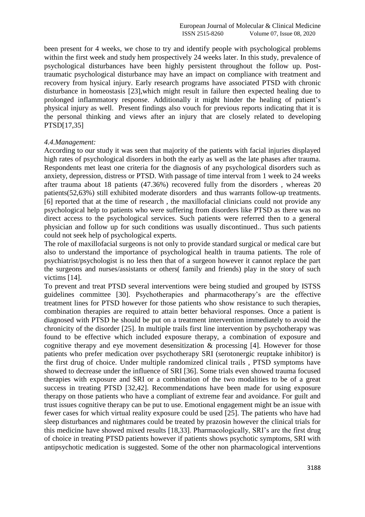been present for 4 weeks, we chose to try and identify people with psychological problems within the first week and study hem prospectively 24 weeks later. In this study, prevalence of psychological disturbances have been highly persistent throughout the follow up. Posttraumatic psychological disturbance may have an impact on compliance with treatment and recovery from hysical injury. Early research programs have associated PTSD with chronic disturbance in homeostasis [23],which might result in failure then expected healing due to prolonged inflammatory response. Additionally it might hinder the healing of patient's physical injury as well. Present findings also vouch for previous reports indicating that it is the personal thinking and views after an injury that are closely related to developing PTSD[17,35]

#### *4.4.Management:*

According to our study it was seen that majority of the patients with facial injuries displayed high rates of psychological disorders in both the early as well as the late phases after trauma. Respondents met least one criteria for the diagnosis of any psychological disorders such as anxiety, depression, distress or PTSD. With passage of time interval from 1 week to 24 weeks after trauma about 18 patients (47.36%) recovered fully from the disorders , whereas 20 patients(52,63%) still exhibited moderate disorders and thus warrants follow-up treatments. [6] reported that at the time of research , the maxillofacial clinicians could not provide any psychological help to patients who were suffering from disorders like PTSD as there was no direct access to the psychological services. Such patients were referred then to a general physician and follow up for such conditions was usually discontinued.. Thus such patients could not seek help of psychological experts.

The role of maxillofacial surgeons is not only to provide standard surgical or medical care but also to understand the importance of psychological health in trauma patients. The role of psychiatrist/psychologist is no less then that of a surgeon however it cannot replace the part the surgeons and nurses/assistants or others( family and friends) play in the story of such victims [14].

To prevent and treat PTSD several interventions were being studied and grouped by ISTSS guidelines committee [30]. Psychotherapies and pharmacotherapy's are the effective treatment lines for PTSD however for those patients who show resistance to such therapies, combination therapies are required to attain better behavioral responses. Once a patient is diagnosed with PTSD he should be put on a treatment intervention immediately to avoid the chronicity of the disorder [25]. In multiple trails first line intervention by psychotherapy was found to be effective which included exposure therapy, a combination of exposure and cognitive therapy and eye movement desensitization & processing [4]. However for those patients who prefer medication over psychotherapy SRI (serotonergic reuptake inhibitor) is the first drug of choice. Under multiple randomized clinical trails , PTSD symptoms have showed to decrease under the influence of SRI [36]. Some trials even showed trauma focused therapies with exposure and SRI or a combination of the two modalities to be of a great success in treating PTSD [32,42]. Recommendations have been made for using exposure therapy on those patients who have a compliant of extreme fear and avoidance. For guilt and trust issues cognitive therapy can be put to use. Emotional engagement might be an issue with fewer cases for which virtual reality exposure could be used [25]. The patients who have had sleep disturbances and nightmares could be treated by prazosin however the clinical trials for this medicine have showed mixed results [18,33]. Pharmacologically, SRI's are the first drug of choice in treating PTSD patients however if patients shows psychotic symptoms, SRI with antipsychotic medication is suggested. Some of the other non pharmacological interventions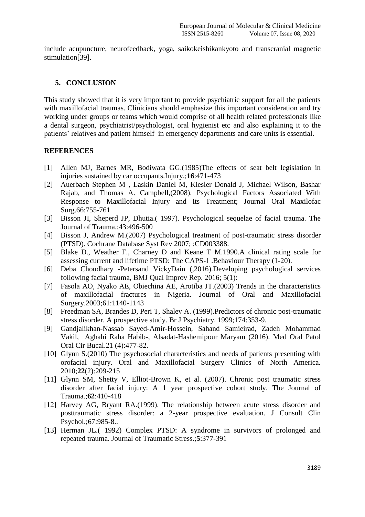include acupuncture, neurofeedback, yoga, saikokeishikankyoto and transcranial magnetic stimulation[39].

# **5. CONCLUSION**

This study showed that it is very important to provide psychiatric support for all the patients with maxillofacial traumas. Clinicians should emphasize this important consideration and try working under groups or teams which would comprise of all health related professionals like a dental surgeon, psychiatrist/psychologist, oral hygienist etc and also explaining it to the patients' relatives and patient himself in emergency departments and care units is essential.

# **REFERENCES**

- [1] Allen MJ, Barnes MR, Bodiwata GG.(1985)The effects of seat belt legislation in injuries sustained by car occupants.Injury.;**16**:471-473
- [2] Auerbach Stephen M , Laskin Daniel M, Kiesler Donald J, Michael Wilson, Bashar Rajab, and Thomas A. Campbell,(2008). Psychological Factors Associated With Response to Maxillofacial Injury and Its Treatment; Journal Oral Maxilofac Surg.66:755-761
- [3] Bisson JI, Sheperd JP, Dhutia.( 1997). Psychological sequelae of facial trauma. The Journal of Trauma.;43:496-500
- [4] [Bisson J, Andrew M.\(2007\) Psychological treatment of post-traumatic stress disorder](https://www.uptodate.com/contents/approach-to-treating-posttraumatic-stress-disorder-in-adults/abstract/3)  [\(PTSD\). Cochrane Database Syst Rev 2007; :CD003388.](https://www.uptodate.com/contents/approach-to-treating-posttraumatic-stress-disorder-in-adults/abstract/3)
- [5] Blake D., Weather F., Charney D and Keane T M.1990.A clinical rating scale for assessing current and lifetime PTSD: The CAPS-1 .Behaviour Therapy (1-20).
- [6] Deba Choudhary -Petersand VickyDain (,2016).Developing psychological services following facial trauma, [BMJ Qual Improv Rep.](https://www.ncbi.nlm.nih.gov/pmc/articles/PMC4964208/) 2016; 5(1):
- [7] Fasola AO, Nyako AE, Obiechina AE, Arotiba JT.(2003) Trends in the characteristics of maxillofacial fractures in Nigeria. Journal of Oral and Maxillofacial Surgery.2003;61:1140-1143
- [8] Freedman SA, Brandes D, Peri T, Shalev A. (1999).Predictors of chronic post-traumatic stress disorder. A prospective study. Br J Psychiatry. 1999;174:353-9.
- [9] Gandjalikhan-Nassab Sayed-Amir-Hossein, Sahand Samieirad, Zadeh Mohammad Vakil, Aghahi Raha Habib-, Alsadat-Hashemipour Maryam (2016). Med Oral Patol Oral Cir Bucal.21 (4):477-82.
- [10] Glynn S.(2010) The psychosocial characteristics and needs of patients presenting with orofacial injury. Oral and Maxillofacial Surgery Clinics of North America. 2010;**22**(2):209-215
- [11] Glynn SM, Shetty V, Elliot-Brown K, et al. (2007). Chronic post traumatic stress disorder after facial injury: A 1 year prospective cohort study. The Journal of Trauma.;**62**:410-418
- [12] Harvey AG, Bryant RA.(1999). The relationship between acute stress disorder and posttraumatic stress disorder: a 2-year prospective evaluation. J Consult Clin Psychol.;67:985-8..
- [13] Herman JL.( 1992) Complex PTSD: A syndrome in survivors of prolonged and repeated trauma. Journal of Traumatic Stress.;**5**:377-391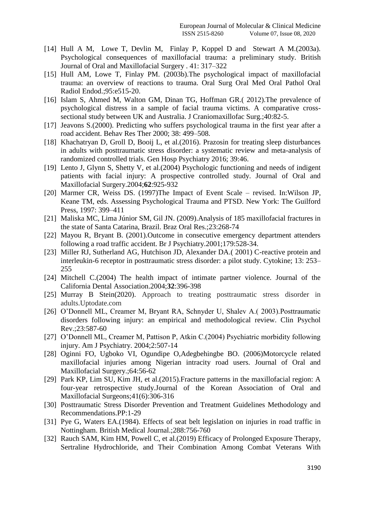- [14] Hull A M, Lowe T, Devlin M, Finlay P, Koppel D and Stewart A M.(2003a). Psychological consequences of maxillofacial trauma: a preliminary study. British Journal of Oral and Maxillofacial Surgery . 41: 317–322
- [15] Hull AM, Lowe T, Finlay PM. (2003b).The psychological impact of maxillofacial trauma: an overview of reactions to trauma. Oral Surg Oral Med Oral Pathol Oral Radiol Endod.;95:e515-20.
- [16] Islam S, Ahmed M, Walton GM, Dinan TG, Hoffman GR.(2012). The prevalence of psychological distress in a sample of facial trauma victims. A comparative crosssectional study between UK and Australia. J Craniomaxillofac Surg.;40:82-5.
- [17] Jeavons S.(2000). Predicting who suffers psychological trauma in the first year after a road accident. Behav Res Ther 2000; 38: 499–508.
- [18] Khachatryan D, Groll D, Booij L, et al. (2016). Prazosin for treating sleep disturbances [in adults with posttraumatic stress disorder: a systematic review and meta-analysis of](https://www.uptodate.com/contents/approach-to-treating-posttraumatic-stress-disorder-in-adults/abstract/13)  [randomized controlled trials. Gen Hosp Psychiatry 2016; 39:46.](https://www.uptodate.com/contents/approach-to-treating-posttraumatic-stress-disorder-in-adults/abstract/13)
- [19] Lento J, Glynn S, Shetty V, et al.(2004) Psychologic functioning and needs of indigent patients with facial injury: A prospective controlled study. Journal of Oral and Maxillofacial Surgery.2004;**62**:925-932
- [20] Marmer CR, Weiss DS. (1997)The Impact of Event Scale revised. In:Wilson JP, Keane TM, eds. Assessing Psychological Trauma and PTSD. New York: The Guilford Press, 1997: 399–411
- [21] Maliska MC, Lima Júnior SM, Gil JN. (2009).Analysis of 185 maxillofacial fractures in the state of Santa Catarina, Brazil. Braz Oral Res.;23:268-74
- [22] Mayou R, Bryant B. (2001).Outcome in consecutive emergency department attenders following a road traffic accident. Br J Psychiatry.2001;179:528-34.
- [23] Miller RJ, Sutherland AG, Hutchison JD, Alexander DA.(2001) C-reactive protein and interleukin-6 receptor in posttraumatic stress disorder: a pilot study. Cytokine; 13: 253– 255
- [24] Mitchell C.(2004) The health impact of intimate partner violence. Journal of the California Dental Association.2004;**32**:396-398
- [25] [Murray B Stein\(](https://www.uptodate.com/contents/approach-to-treating-posttraumatic-stress-disorder-in-adults/contributors)2020). Approach to treating posttraumatic stress disorder in adults.Uptodate.com
- [26] O'Donnell ML, Creamer M, Bryant RA, Schnyder U, Shalev A.( 2003).Posttraumatic disorders following injury: an empirical and methodological review. Clin Psychol Rev.;23:587-60
- [27] O'Donnell ML, Creamer M, Pattison P, Atkin C.(2004) Psychiatric morbidity following injury. Am J Psychiatry. 2004;2:507-14
- [28] Oginni FO, Ugboko VI, Ogundipe O,Adegbehingbe BO. (2006)Motorcycle related maxillofacial injuries among Nigerian intracity road users. Journal of Oral and Maxillofacial Surgery.;64:56-62
- [29] Park KP, Lim SU, Kim JH, et al.(2015). Fracture patterns in the maxillofacial region: A four-year retrospective study.Journal of the Korean Association of Oral and Maxillofacial Surgeons;41(6):306-316
- [30] Posttraumatic Stress Disorder Prevention and Treatment Guidelines Methodology and Recommendations.PP:1-29
- [31] Pye G, Waters EA.(1984). Effects of seat belt legislation on injuries in road traffic in Nottingham. British Medical Journal.;288:756-760
- [32] Rauch SAM, Kim HM, Powell C, et al.(2019) Efficacy of Prolonged Exposure Therapy, Sertraline Hydrochloride, and Their Combination Among Combat Veterans With